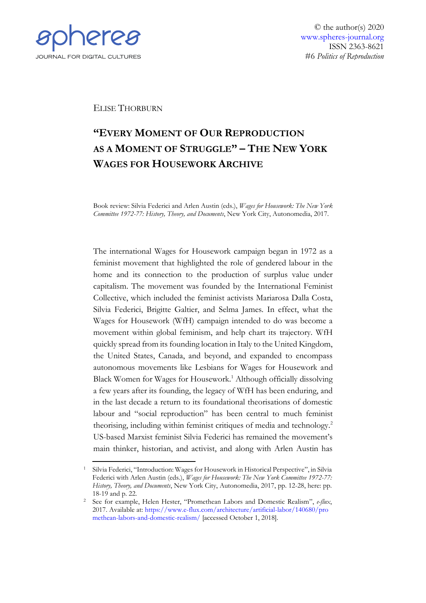

© the author(s) 2020 [www.spheres-journal.org](http://www.spheres-journal.org/) ISSN 2363-8621 #6 *Politics of Reproduction*

## ELISE THORBURN

## **"EVERY MOMENT OF OUR REPRODUCTION AS A MOMENT OF STRUGGLE" – THE NEW YORK WAGES FOR HOUSEWORK ARCHIVE**

Book review: Silvia Federici and Arlen Austin (eds.), *Wages for Housework: The New York Committee 1972-77: History, Theory, and Documents*, New York City, Autonomedia, 2017.

The international Wages for Housework campaign began in 1972 as a feminist movement that highlighted the role of gendered labour in the home and its connection to the production of surplus value under capitalism. The movement was founded by the International Feminist Collective, which included the feminist activists Mariarosa Dalla Costa, Silvia Federici, Brigitte Galtier, and Selma James. In effect, what the Wages for Housework (WfH) campaign intended to do was become a movement within global feminism, and help chart its trajectory. WfH quickly spread from its founding location in Italy to the United Kingdom, the United States, Canada, and beyond, and expanded to encompass autonomous movements like Lesbians for Wages for Housework and Black Women for Wages for Housework.<sup>1</sup> Although officially dissolving a few years after its founding, the legacy of WfH has been enduring, and in the last decade a return to its foundational theorisations of domestic labour and "social reproduction" has been central to much feminist theorising, including within feminist critiques of media and technology.<sup>2</sup> US-based Marxist feminist Silvia Federici has remained the movement's main thinker, historian, and activist, and along with Arlen Austin has

<sup>1</sup> Silvia Federici, "Introduction: Wages for Housework in Historical Perspective", in Silvia Federici with Arlen Austin (eds.), *Wages for Housework: The New York Committee 1972-77: History, Theory, and Documents*, New York City, Autonomedia, 2017, pp. 12-28, here: pp. 18-19 and p. 22.

<sup>2</sup> See for example, Helen Hester, "Promethean Labors and Domestic Realism", *e-flux*, 2017. Available at: [https://www.e-flux.com/architecture/artificial-labor/140680/pro](https://www.e-flux.com/architecture/artificial-labor/140680/promethean-labors-and-domestic-realism/) [methean-labors-and-domestic-realism/](https://www.e-flux.com/architecture/artificial-labor/140680/promethean-labors-and-domestic-realism/) [accessed October 1, 2018].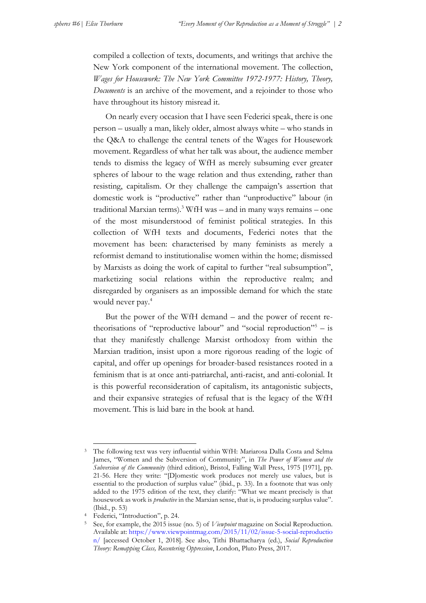compiled a collection of texts, documents, and writings that archive the New York component of the international movement. The collection, *Wages for Housework: The New York Committee 1972-1977: History, Theory, Documents* is an archive of the movement, and a rejoinder to those who have throughout its history misread it.

On nearly every occasion that I have seen Federici speak, there is one person – usually a man, likely older, almost always white – who stands in the Q&A to challenge the central tenets of the Wages for Housework movement. Regardless of what her talk was about, the audience member tends to dismiss the legacy of WfH as merely subsuming ever greater spheres of labour to the wage relation and thus extending, rather than resisting, capitalism. Or they challenge the campaign's assertion that domestic work is "productive" rather than "unproductive" labour (in traditional Marxian terms)*.* <sup>3</sup> WfH was – and in many ways remains – one of the most misunderstood of feminist political strategies. In this collection of WfH texts and documents, Federici notes that the movement has been: characterised by many feminists as merely a reformist demand to institutionalise women within the home; dismissed by Marxists as doing the work of capital to further "real subsumption", marketizing social relations within the reproductive realm; and disregarded by organisers as an impossible demand for which the state would never pay.<sup>4</sup>

But the power of the WfH demand – and the power of recent retheorisations of "reproductive labour" and "social reproduction"<sup>5</sup> – is that they manifestly challenge Marxist orthodoxy from within the Marxian tradition, insist upon a more rigorous reading of the logic of capital, and offer up openings for broader-based resistances rooted in a feminism that is at once anti-patriarchal, anti-racist, and anti-colonial. It is this powerful reconsideration of capitalism, its antagonistic subjects, and their expansive strategies of refusal that is the legacy of the WfH movement. This is laid bare in the book at hand*.* 

<sup>3</sup> The following text was very influential within WfH: Mariarosa Dalla Costa and Selma James, "Women and the Subversion of Community", in *The Power of Women and the Subversion of the Community* (third edition), Bristol, Falling Wall Press, 1975 [1971], pp. 21-56. Here they write: "[D]omestic work produces not merely use values, but is essential to the production of surplus value" (ibid., p. 33). In a footnote that was only added to the 1975 edition of the text, they clarify: "What we meant precisely is that housework as work is *productive* in the Marxian sense, that is, is producing surplus value". (Ibid., p. 53)

<sup>4</sup> Federici, "Introduction", p. 24.

<sup>5</sup> See, for example, the 2015 issue (no. 5) of *Viewpoint* magazine on Social Reproduction. Available at: [https://www.viewpointmag.com/2015/11/02/issue-5-social-reproductio](https://www.viewpointmag.com/2015/11/02/issue-5-social-reproduction/) [n/](https://www.viewpointmag.com/2015/11/02/issue-5-social-reproduction/) [accessed October 1, 2018]. See also, Tithi Bhattacharya (ed.), *Social Reproduction Theory: Remapping Class, Recentering Oppression*, London, Pluto Press, 2017.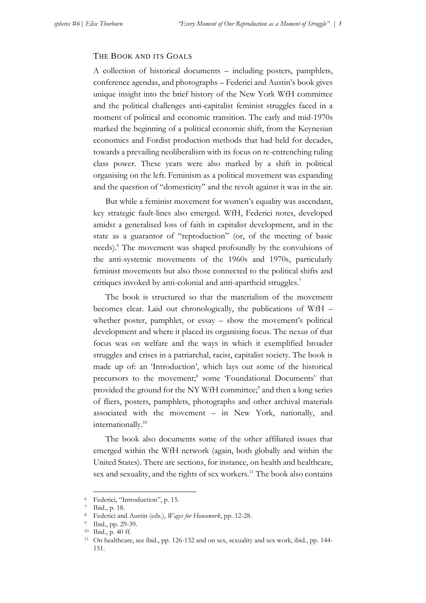## THE BOOK AND ITS GOALS

A collection of historical documents – including posters, pamphlets, conference agendas, and photographs – Federici and Austin's book gives unique insight into the brief history of the New York WfH committee and the political challenges anti-capitalist feminist struggles faced in a moment of political and economic transition. The early and mid-1970s marked the beginning of a political economic shift, from the Keynesian economics and Fordist production methods that had held for decades, towards a prevailing neoliberalism with its focus on re-entrenching ruling class power. These years were also marked by a shift in political organising on the left. Feminism as a political movement was expanding and the question of "domesticity" and the revolt against it was in the air.

But while a feminist movement for women's equality was ascendant, key strategic fault-lines also emerged. WfH, Federici notes, developed amidst a generalised loss of faith in capitalist development, and in the state as a guarantor of "reproduction" (or, of the meeting of basic needs).<sup>6</sup> The movement was shaped profoundly by the convulsions of the anti-systemic movements of the 1960s and 1970s, particularly feminist movements but also those connected to the political shifts and critiques invoked by anti-colonial and anti-apartheid struggles.<sup>7</sup>

The book is structured so that the materialism of the movement becomes clear. Laid out chronologically, the publications of WfH – whether poster, pamphlet, or essay – show the movement's political development and where it placed its organising focus. The nexus of that focus was on welfare and the ways in which it exemplified broader struggles and crises in a patriarchal, racist, capitalist society. The book is made up of: an 'Introduction', which lays out some of the historical precursors to the movement;<sup>8</sup> some 'Foundational Documents' that provided the ground for the NY WfH committee;<sup>9</sup> and then a long series of fliers, posters, pamphlets, photographs and other archival materials associated with the movement – in New York, nationally, and internationally.<sup>10</sup>

The book also documents some of the other affiliated issues that emerged within the WfH network (again, both globally and within the United States). There are sections, for instance, on health and healthcare, sex and sexuality, and the rights of sex workers.<sup>11</sup> The book also contains

<sup>6</sup> Federici, "Introduction", p. 15.

<sup>7</sup> Ibid., p. 18.

<sup>8</sup> Federici and Austin (eds.), *Wages for Housework*, pp. 12-28.

<sup>9</sup> Ibid., pp. 29-39.

<sup>10</sup> Ibid., p. 40 ff.

<sup>11</sup> On healthcare, see ibid., pp. 126-132 and on sex, sexuality and sex work, ibid., pp. 144- 151.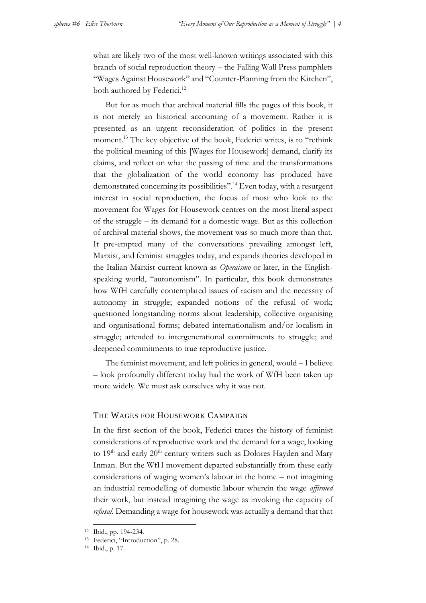what are likely two of the most well-known writings associated with this branch of social reproduction theory – the Falling Wall Press pamphlets "Wages Against Housework" and "Counter-Planning from the Kitchen", both authored by Federici.<sup>12</sup>

But for as much that archival material fills the pages of this book, it is not merely an historical accounting of a movement. Rather it is presented as an urgent reconsideration of politics in the present moment.<sup>13</sup> The key objective of the book, Federici writes, is to "rethink" the political meaning of this [Wages for Housework] demand, clarify its claims, and reflect on what the passing of time and the transformations that the globalization of the world economy has produced have demonstrated concerning its possibilities".<sup>14</sup> Even today, with a resurgent interest in social reproduction, the focus of most who look to the movement for Wages for Housework centres on the most literal aspect of the struggle – its demand for a domestic wage. But as this collection of archival material shows, the movement was so much more than that. It pre-empted many of the conversations prevailing amongst left, Marxist, and feminist struggles today, and expands theories developed in the Italian Marxist current known as *Operaismo* or later, in the Englishspeaking world, "autonomism". In particular, this book demonstrates how WfH carefully contemplated issues of racism and the necessity of autonomy in struggle; expanded notions of the refusal of work; questioned longstanding norms about leadership, collective organising and organisational forms; debated internationalism and/or localism in struggle; attended to intergenerational commitments to struggle; and deepened commitments to true reproductive justice.

The feminist movement, and left politics in general, would – I believe – look profoundly different today had the work of WfH been taken up more widely. We must ask ourselves why it was not.

## THE WAGES FOR HOUSEWORK CAMPAIGN

In the first section of the book, Federici traces the history of feminist considerations of reproductive work and the demand for a wage, looking to  $19<sup>th</sup>$  and early  $20<sup>th</sup>$  century writers such as Dolores Hayden and Mary Inman. But the WfH movement departed substantially from these early considerations of waging women's labour in the home – not imagining an industrial remodelling of domestic labour wherein the wage *affirmed* their work, but instead imagining the wage as invoking the capacity of *refusal*. Demanding a wage for housework was actually a demand that that

<sup>12</sup> Ibid., pp. 194-234.

<sup>13</sup> Federici, "Introduction", p. 28.

<sup>14</sup> Ibid., p. 17.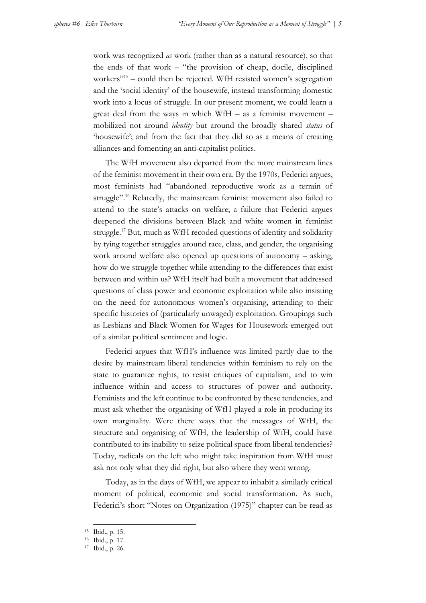work was recognized *as* work (rather than as a natural resource), so that the ends of that work – "the provision of cheap, docile, disciplined workers"<sup>15</sup> – could then be rejected. WfH resisted women's segregation and the 'social identity' of the housewife, instead transforming domestic work into a locus of struggle. In our present moment, we could learn a great deal from the ways in which WfH – as a feminist movement – mobilized not around *identity* but around the broadly shared *status* of 'housewife'; and from the fact that they did so as a means of creating alliances and fomenting an anti-capitalist politics.

The WfH movement also departed from the more mainstream lines of the feminist movement in their own era. By the 1970s, Federici argues, most feminists had "abandoned reproductive work as a terrain of struggle".<sup>16</sup> Relatedly, the mainstream feminist movement also failed to attend to the state's attacks on welfare; a failure that Federici argues deepened the divisions between Black and white women in feminist struggle.<sup>17</sup> But, much as WfH recoded questions of identity and solidarity by tying together struggles around race, class, and gender, the organising work around welfare also opened up questions of autonomy – asking, how do we struggle together while attending to the differences that exist between and within us? WfH itself had built a movement that addressed questions of class power and economic exploitation while also insisting on the need for autonomous women's organising, attending to their specific histories of (particularly unwaged) exploitation. Groupings such as Lesbians and Black Women for Wages for Housework emerged out of a similar political sentiment and logic.

Federici argues that WfH's influence was limited partly due to the desire by mainstream liberal tendencies within feminism to rely on the state to guarantee rights, to resist critiques of capitalism, and to win influence within and access to structures of power and authority. Feminists and the left continue to be confronted by these tendencies, and must ask whether the organising of WfH played a role in producing its own marginality. Were there ways that the messages of WfH, the structure and organising of WfH, the leadership of WfH, could have contributed to its inability to seize political space from liberal tendencies? Today, radicals on the left who might take inspiration from WfH must ask not only what they did right, but also where they went wrong.

Today, as in the days of WfH, we appear to inhabit a similarly critical moment of political, economic and social transformation. As such, Federici's short "Notes on Organization (1975)" chapter can be read as

<sup>15</sup> Ibid., p. 15.

<sup>16</sup> Ibid., p. 17.

<sup>17</sup> Ibid., p. 26.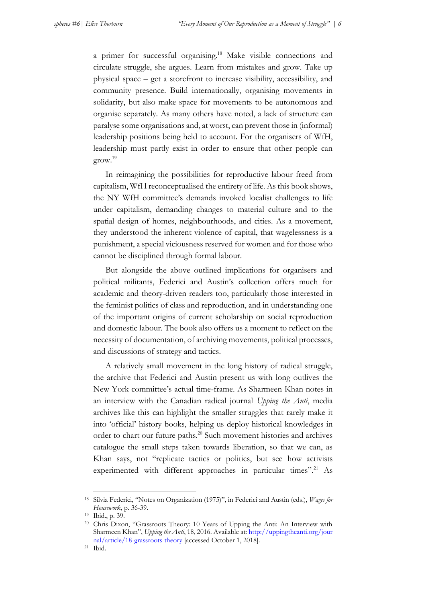a primer for successful organising.<sup>18</sup> Make visible connections and circulate struggle, she argues. Learn from mistakes and grow. Take up physical space – get a storefront to increase visibility, accessibility, and community presence. Build internationally, organising movements in solidarity, but also make space for movements to be autonomous and organise separately. As many others have noted, a lack of structure can paralyse some organisations and, at worst, can prevent those in (informal) leadership positions being held to account. For the organisers of WfH, leadership must partly exist in order to ensure that other people can grow.<sup>19</sup>

In reimagining the possibilities for reproductive labour freed from capitalism, WfH reconceptualised the entirety of life. As this book shows, the NY WfH committee's demands invoked localist challenges to life under capitalism, demanding changes to material culture and to the spatial design of homes, neighbourhoods, and cities. As a movement, they understood the inherent violence of capital, that wagelessness is a punishment, a special viciousness reserved for women and for those who cannot be disciplined through formal labour.

But alongside the above outlined implications for organisers and political militants, Federici and Austin's collection offers much for academic and theory-driven readers too, particularly those interested in the feminist politics of class and reproduction, and in understanding one of the important origins of current scholarship on social reproduction and domestic labour. The book also offers us a moment to reflect on the necessity of documentation, of archiving movements, political processes, and discussions of strategy and tactics.

A relatively small movement in the long history of radical struggle, the archive that Federici and Austin present us with long outlives the New York committee's actual time-frame. As Sharmeen Khan notes in an interview with the Canadian radical journal *Upping the Anti*, media archives like this can highlight the smaller struggles that rarely make it into 'official' history books, helping us deploy historical knowledges in order to chart our future paths.<sup>20</sup> Such movement histories and archives catalogue the small steps taken towards liberation, so that we can, as Khan says, not "replicate tactics or politics, but see how activists experimented with different approaches in particular times".<sup>21</sup> As

<sup>18</sup> Silvia Federici, "Notes on Organization (1975)", in Federici and Austin (eds.), *Wages for Housework*, p. 36-39.

<sup>19</sup> Ibid., p. 39.

<sup>&</sup>lt;sup>20</sup> Chris Dixon, "Grassroots Theory: 10 Years of Upping the Anti: An Interview with Sharmeen Khan", *Upping the Anti*, 18, 2016. Available at[: http://uppingtheanti.org/jour](http://uppingtheanti.org/journal/article/18-grassroots-theory) [nal/article/18-grassroots-theory](http://uppingtheanti.org/journal/article/18-grassroots-theory) [accessed October 1, 2018].

<sup>21</sup> Ibid.